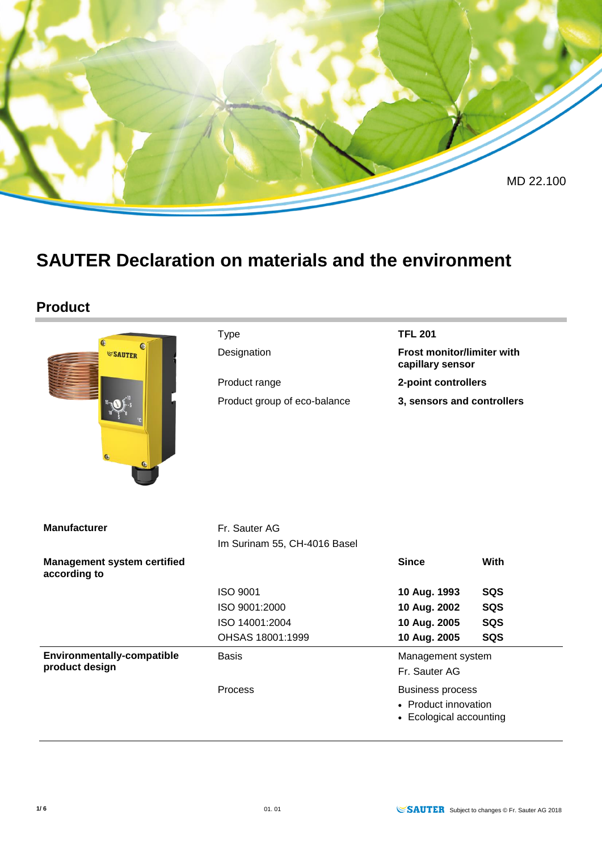

# **SAUTER Declaration on materials and the environment**

#### **Product**

| G                                                  | <b>TFL 201</b><br><b>Type</b>                 |                                                                            |      |  |
|----------------------------------------------------|-----------------------------------------------|----------------------------------------------------------------------------|------|--|
| C<br><b>SAUTER</b>                                 | Designation                                   | Frost monitor/limiter with<br>capillary sensor                             |      |  |
|                                                    | Product range                                 | 2-point controllers                                                        |      |  |
|                                                    | Product group of eco-balance                  | 3, sensors and controllers                                                 |      |  |
| <b>Manufacturer</b>                                | Fr. Sauter AG<br>Im Surinam 55, CH-4016 Basel |                                                                            |      |  |
| <b>Management system certified</b><br>according to |                                               | <b>Since</b>                                                               | With |  |
|                                                    | <b>ISO 9001</b>                               | 10 Aug. 1993                                                               | SQS  |  |
|                                                    | ISO 9001:2000                                 | 10 Aug. 2002                                                               | SQS  |  |
|                                                    | ISO 14001:2004                                | 10 Aug. 2005                                                               | SQS  |  |
|                                                    | OHSAS 18001:1999                              | 10 Aug. 2005                                                               | SQS  |  |
| Environmentally-compatible<br>product design       | <b>Basis</b>                                  | Management system<br>Fr. Sauter AG                                         |      |  |
|                                                    | Process                                       | <b>Business process</b><br>• Product innovation<br>• Ecological accounting |      |  |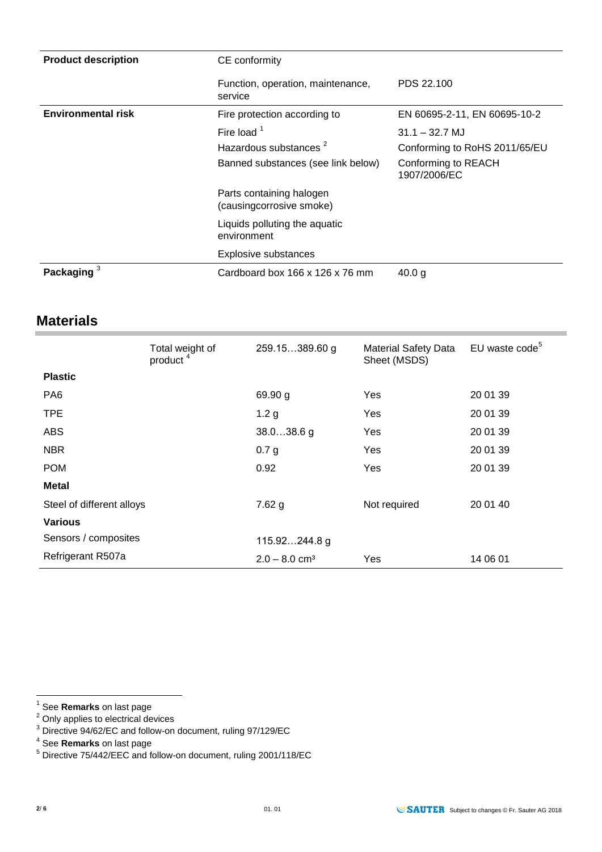| <b>Product description</b> | CE conformity                                                                            |                                                                                          |  |  |  |
|----------------------------|------------------------------------------------------------------------------------------|------------------------------------------------------------------------------------------|--|--|--|
|                            | Function, operation, maintenance,<br>service                                             | PDS 22.100                                                                               |  |  |  |
| <b>Environmental risk</b>  | Fire protection according to                                                             | EN 60695-2-11, EN 60695-10-2                                                             |  |  |  |
|                            | Fire load $1$<br>Hazardous substances <sup>2</sup><br>Banned substances (see link below) | $31.1 - 32.7$ MJ<br>Conforming to RoHS 2011/65/EU<br>Conforming to REACH<br>1907/2006/EC |  |  |  |
|                            | Parts containing halogen<br>(causingcorrosive smoke)                                     |                                                                                          |  |  |  |
|                            | Liquids polluting the aquatic<br>environment                                             |                                                                                          |  |  |  |
|                            | <b>Explosive substances</b>                                                              |                                                                                          |  |  |  |
| Packaging                  | Cardboard box 166 x 126 x 76 mm                                                          | 40.0 g                                                                                   |  |  |  |

#### **Materials**

|                           | Total weight of<br>product <sup>4</sup> | 259.15389.60 g              | <b>Material Safety Data</b><br>Sheet (MSDS) | EU waste code <sup>5</sup> |
|---------------------------|-----------------------------------------|-----------------------------|---------------------------------------------|----------------------------|
| <b>Plastic</b>            |                                         |                             |                                             |                            |
| PA <sub>6</sub>           |                                         | 69.90 g                     | Yes                                         | 20 01 39                   |
| <b>TPE</b>                |                                         | 1.2 <sub>g</sub>            | Yes                                         | 20 01 39                   |
| <b>ABS</b>                |                                         | $38.038.6$ g                | Yes                                         | 20 01 39                   |
| <b>NBR</b>                |                                         | 0.7 g                       | Yes                                         | 20 01 39                   |
| <b>POM</b>                |                                         | 0.92                        | Yes                                         | 20 01 39                   |
| <b>Metal</b>              |                                         |                             |                                             |                            |
| Steel of different alloys |                                         | $7.62$ g                    | Not required                                | 20 01 40                   |
| <b>Various</b>            |                                         |                             |                                             |                            |
| Sensors / composites      |                                         | 115.92244.8 g               |                                             |                            |
| Refrigerant R507a         |                                         | $2.0 - 8.0$ cm <sup>3</sup> | Yes                                         | 14 06 01                   |

 $2$  Only applies to electrical devices

 1 See **Remarks** on last page

 $3$  Directive 94/62/EC and follow-on document, ruling 97/129/EC

<sup>4</sup> See **Remarks** on last page

<sup>&</sup>lt;sup>5</sup> Directive 75/442/EEC and follow-on document, ruling 2001/118/EC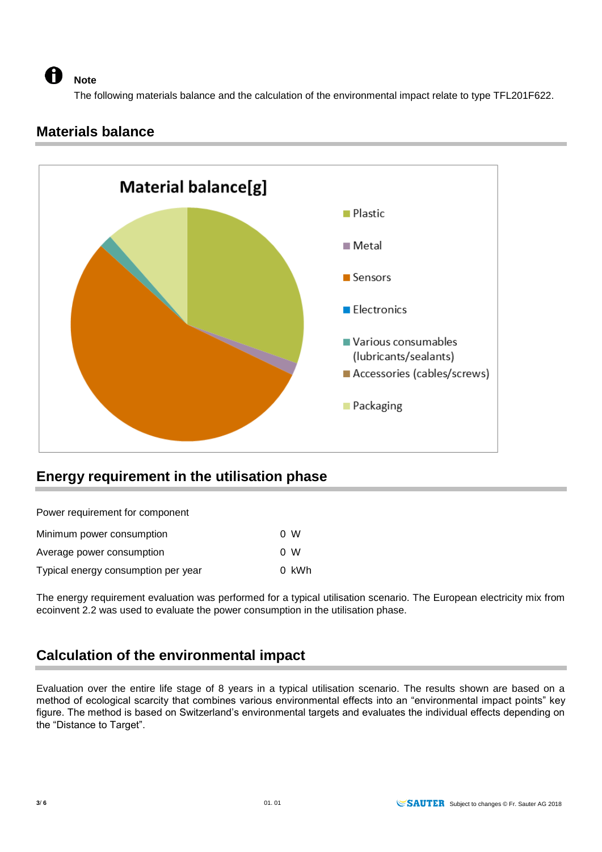A

The following materials balance and the calculation of the environmental impact relate to type TFL201F622.

### **Materials balance**

**Note** 



## **Energy requirement in the utilisation phase**

Power requirement for component

| Minimum power consumption           | 0 W   |
|-------------------------------------|-------|
| Average power consumption           | 0 W   |
| Typical energy consumption per year | 0 kWh |

The energy requirement evaluation was performed for a typical utilisation scenario. The European electricity mix from ecoinvent 2.2 was used to evaluate the power consumption in the utilisation phase.

### **Calculation of the environmental impact**

Evaluation over the entire life stage of 8 years in a typical utilisation scenario. The results shown are based on a method of ecological scarcity that combines various environmental effects into an "environmental impact points" key figure. The method is based on Switzerland's environmental targets and evaluates the individual effects depending on the "Distance to Target".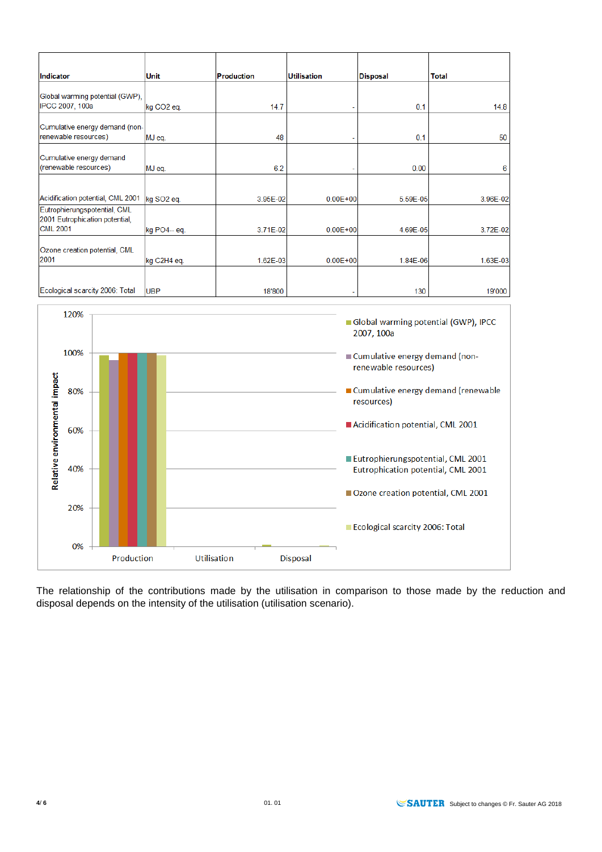| Indicator                                                      | <b>Unit</b>            | Production | <b>Utilisation</b> | <b>Disposal</b> | Total    |
|----------------------------------------------------------------|------------------------|------------|--------------------|-----------------|----------|
|                                                                |                        |            |                    |                 |          |
| Global warming potential (GWP),<br>IPCC 2007, 100a             | kg CO <sub>2</sub> eq. | 14.7       |                    | 0.1             | 14.8     |
| Cumulative energy demand (non-                                 |                        |            |                    |                 |          |
| renewable resources)                                           | MJ eq.                 | 48         |                    | 0.1             | 50       |
| Cumulative energy demand                                       |                        |            |                    |                 |          |
| (renewable resources)                                          | MJ eq.                 | 6.2        |                    | 0.00            | 6        |
|                                                                |                        |            |                    |                 |          |
| Acidification potential, CML 2001                              | kg SO <sub>2</sub> eq. | 3.95E-02   | $0.00E + 00$       | 5.59E-05        | 3.96E-02 |
| Eutrophierungspotential, CML<br>2001 Eutrophication potential, |                        |            |                    |                 |          |
| <b>CML 2001</b>                                                | kg PO4-- eq.           | 3.71E-02   | $0.00E + 00$       | 4.69E-05        | 3.72E-02 |
| Ozone creation potential, CML                                  |                        |            |                    |                 |          |
| 2001                                                           | kg C2H4 eq.            | 1.62E-03   | $0.00E + 00$       | 1.84E-06        | 1.63E-03 |
|                                                                |                        |            |                    |                 |          |
| Ecological scarcity 2006: Total                                | <b>UBP</b>             | 18'800     |                    | 130             | 19'000   |



The relationship of the contributions made by the utilisation in comparison to those made by the reduction and disposal depends on the intensity of the utilisation (utilisation scenario).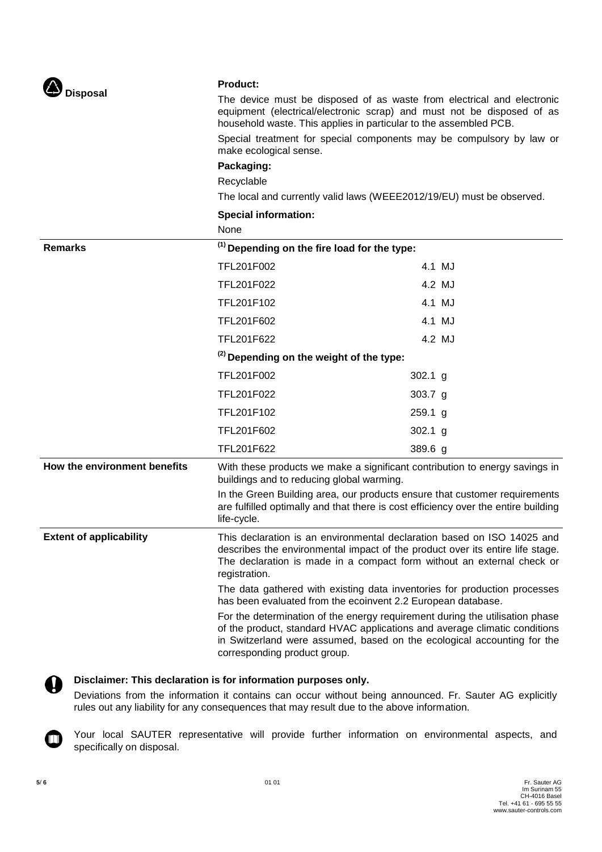| Disposal |
|----------|
|----------|

#### **Product:**

The device must be disposed of as waste from electrical and electronic equipment (electrical/electronic scrap) and must not be disposed of as household waste. This applies in particular to the assembled PCB.

Special treatment for special components may be compulsory by law or make ecological sense.

#### **Packaging:**

Recyclable

The local and currently valid laws (WEEE2012/19/EU) must be observed.

#### **Special information:**

|                                | None                                                                                                                                                                                                                                                                                                                                                                                                                                                                                                                                                                                                                                                                      |           |        |
|--------------------------------|---------------------------------------------------------------------------------------------------------------------------------------------------------------------------------------------------------------------------------------------------------------------------------------------------------------------------------------------------------------------------------------------------------------------------------------------------------------------------------------------------------------------------------------------------------------------------------------------------------------------------------------------------------------------------|-----------|--------|
| <b>Remarks</b>                 | <sup>(1)</sup> Depending on the fire load for the type:                                                                                                                                                                                                                                                                                                                                                                                                                                                                                                                                                                                                                   |           |        |
|                                | TFL201F002                                                                                                                                                                                                                                                                                                                                                                                                                                                                                                                                                                                                                                                                |           | 4.1 MJ |
|                                | TFL201F022                                                                                                                                                                                                                                                                                                                                                                                                                                                                                                                                                                                                                                                                |           | 4.2 MJ |
|                                | TFL201F102                                                                                                                                                                                                                                                                                                                                                                                                                                                                                                                                                                                                                                                                |           | 4.1 MJ |
|                                | TFL201F602                                                                                                                                                                                                                                                                                                                                                                                                                                                                                                                                                                                                                                                                |           | 4.1 MJ |
|                                | TFL201F622                                                                                                                                                                                                                                                                                                                                                                                                                                                                                                                                                                                                                                                                |           | 4.2 MJ |
|                                | <sup>(2)</sup> Depending on the weight of the type:                                                                                                                                                                                                                                                                                                                                                                                                                                                                                                                                                                                                                       |           |        |
|                                | TFL201F002                                                                                                                                                                                                                                                                                                                                                                                                                                                                                                                                                                                                                                                                | $302.1$ g |        |
|                                | TFL201F022                                                                                                                                                                                                                                                                                                                                                                                                                                                                                                                                                                                                                                                                | 303.7 $g$ |        |
|                                | TFL201F102                                                                                                                                                                                                                                                                                                                                                                                                                                                                                                                                                                                                                                                                | 259.1 g   |        |
|                                | TFL201F602                                                                                                                                                                                                                                                                                                                                                                                                                                                                                                                                                                                                                                                                | $302.1$ g |        |
|                                | TFL201F622                                                                                                                                                                                                                                                                                                                                                                                                                                                                                                                                                                                                                                                                | 389.6 g   |        |
| How the environment benefits   | With these products we make a significant contribution to energy savings in<br>buildings and to reducing global warming.<br>In the Green Building area, our products ensure that customer requirements<br>are fulfilled optimally and that there is cost efficiency over the entire building<br>life-cycle.                                                                                                                                                                                                                                                                                                                                                               |           |        |
|                                |                                                                                                                                                                                                                                                                                                                                                                                                                                                                                                                                                                                                                                                                           |           |        |
| <b>Extent of applicability</b> | This declaration is an environmental declaration based on ISO 14025 and<br>describes the environmental impact of the product over its entire life stage.<br>The declaration is made in a compact form without an external check or<br>registration.<br>The data gathered with existing data inventories for production processes<br>has been evaluated from the ecoinvent 2.2 European database.<br>For the determination of the energy requirement during the utilisation phase<br>of the product, standard HVAC applications and average climatic conditions<br>in Switzerland were assumed, based on the ecological accounting for the<br>corresponding product group. |           |        |
|                                |                                                                                                                                                                                                                                                                                                                                                                                                                                                                                                                                                                                                                                                                           |           |        |
|                                |                                                                                                                                                                                                                                                                                                                                                                                                                                                                                                                                                                                                                                                                           |           |        |



**Disclaimer: This declaration is for information purposes only.**

Deviations from the information it contains can occur without being announced. Fr. Sauter AG explicitly rules out any liability for any consequences that may result due to the above information.



Your local SAUTER representative will provide further information on environmental aspects, and specifically on disposal.